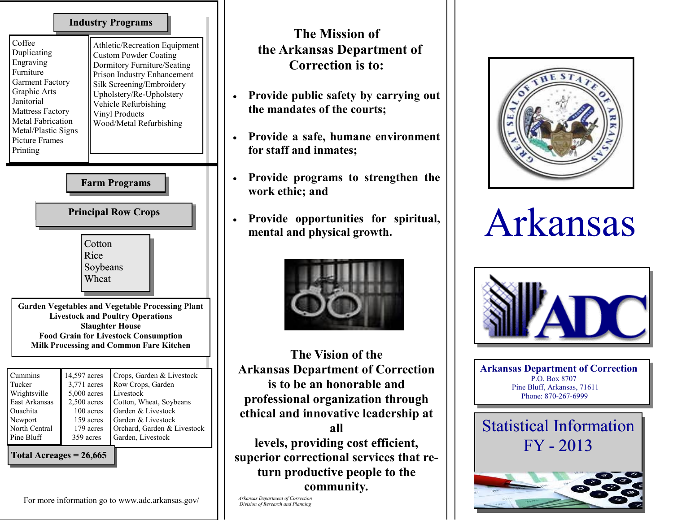## **Industry Programs**

| Coffee<br>Duplicating<br>Engraving<br>Furniture<br><b>Garment Factory</b><br>Graphic Arts<br>Janitorial<br><b>Mattress Factory</b><br><b>Metal Fabrication</b><br>Metal/Plastic Signs<br>Picture Frames<br>Printing | Athletic/Recreation Equipment<br><b>Custom Powder Coating</b><br>Dormitory Furniture/Seating<br>Prison Industry Enhancement<br>Silk Screening/Embroidery<br>Upholstery/Re-Upholstery<br>Vehicle Refurbishing<br><b>Vinyl Products</b><br>Wood/Metal Refurbishing |
|---------------------------------------------------------------------------------------------------------------------------------------------------------------------------------------------------------------------|------------------------------------------------------------------------------------------------------------------------------------------------------------------------------------------------------------------------------------------------------------------|

**Farm Programs Cotton** Rice Soybeans **Wheat Principal Row Crops Principal Row CropsGarden Vegetables and Vegetable Processing Plant Livestock and Poultry Operations Slaughter House Food Grain for Livestock Consumption Milk Processing and Common Fare Kitchen** Cummins Tucker Wrightsville East Arkansas 14,597 acres 3,771 acres 5,000 acres 2,500 acres Cotton, Wheat, Soybeans Crops, Garden & Livestock Row Crops, Garden Livestock

| Ouachita      |           | 100 acres Garden & Livestock            |
|---------------|-----------|-----------------------------------------|
| Newport       |           | 159 acres Garden & Livestock            |
| North Central |           | 179 acres   Orchard, Garden & Livestock |
| Pine Bluff    | 359 acres | Garden, Livestock                       |
|               |           |                                         |

**Total Acreages = 26,665**

## **The Mission of the Arkansas Department of Correction is to:**

- **Provide public safety by carrying out the mandates of the courts;**
- **Provide a safe, humane environment for staff and inmates;**
- **Provide programs to strengthen the work ethic; and**
- **Provide opportunities for spiritual, mental and physical growth.**



**The Vision of the Arkansas Department of Correction is to be an honorable and professional organization through ethical and innovative leadership at** 

**all levels, providing cost efficient, superior correctional services that return productive people to the community***.* 

*Arkansas Department of Correction Division of Research and Planning*



## Arkansas



**Arkansas Department of Correction** P.O. Box 8707 Pine Bluff, Arkansas, 71611 Phone: 870-267-6999